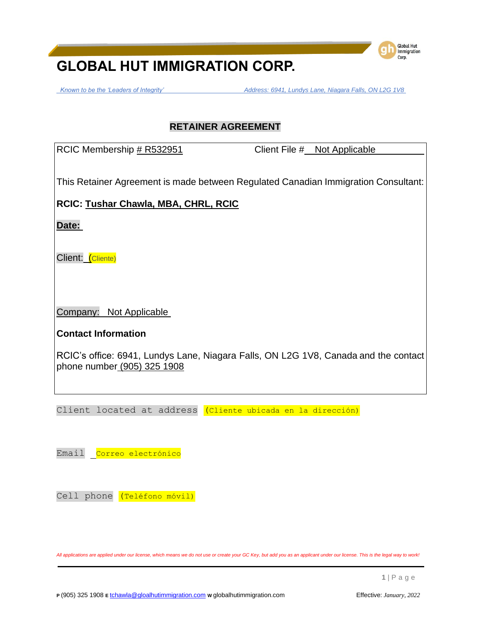*Known to be the 'Leaders of Integrity' Address: 6941, Lundys Lane, Niagara Falls, ON L2G 1V8*

**Global Hut** Immigration Corp.

# **RETAINER AGREEMENT**

RCIC Membership # R532951 Client File # Not Applicable

This Retainer Agreement is made between Regulated Canadian Immigration Consultant:

**RCIC: Tushar Chawla, MBA, CHRL, RCIC**

**Date:**

Client: (Cliente)

Company: Not Applicable

**Contact Information**

RCIC's office: 6941, Lundys Lane, Niagara Falls, ON L2G 1V8, Canada and the contact phone number (905) 325 1908

Client located at address (Cliente ubicada en la dirección)

Email Correo electrónico

Cell phone (Teléfono móvil)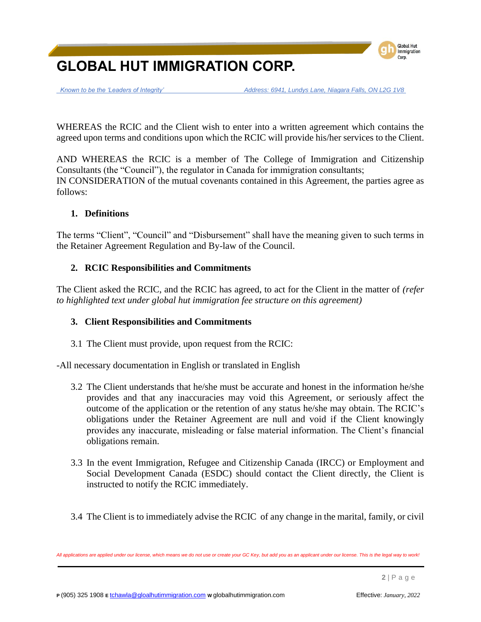

 *Known to be the 'Leaders of Integrity' Address: 6941, Lundys Lane, Niagara Falls, ON L2G 1V8*

WHEREAS the RCIC and the Client wish to enter into a written agreement which contains the agreed upon terms and conditions upon which the RCIC will provide his/her services to the Client.

AND WHEREAS the RCIC is a member of The College of Immigration and Citizenship Consultants (the "Council"), the regulator in Canada for immigration consultants; IN CONSIDERATION of the mutual covenants contained in this Agreement, the parties agree as follows:

### **1. Definitions**

The terms "Client", "Council" and "Disbursement" shall have the meaning given to such terms in the Retainer Agreement Regulation and By-law of the Council.

### **2. RCIC Responsibilities and Commitments**

The Client asked the RCIC, and the RCIC has agreed, to act for the Client in the matter of *(refer to highlighted text under global hut immigration fee structure on this agreement)*

### **3. Client Responsibilities and Commitments**

3.1 The Client must provide, upon request from the RCIC:

-All necessary documentation in English or translated in English

- 3.2 The Client understands that he/she must be accurate and honest in the information he/she provides and that any inaccuracies may void this Agreement, or seriously affect the outcome of the application or the retention of any status he/she may obtain. The RCIC's obligations under the Retainer Agreement are null and void if the Client knowingly provides any inaccurate, misleading or false material information. The Client's financial obligations remain.
- 3.3 In the event Immigration, Refugee and Citizenship Canada (IRCC) or Employment and Social Development Canada (ESDC) should contact the Client directly, the Client is instructed to notify the RCIC immediately.
- 3.4 The Client is to immediately advise the RCIC of any change in the marital, family, or civil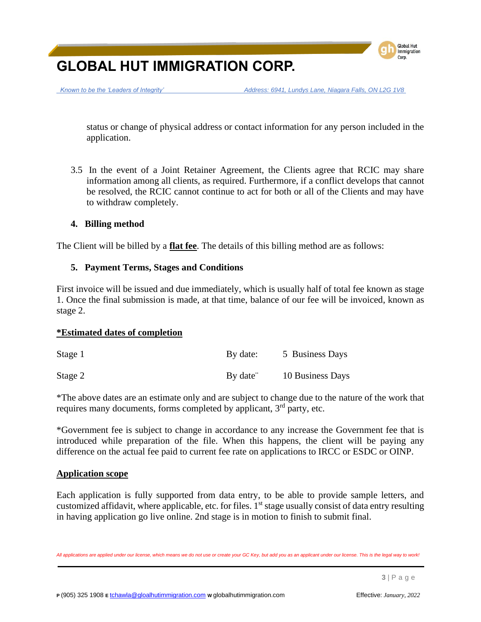

 *Known to be the 'Leaders of Integrity' Address: 6941, Lundys Lane, Niagara Falls, ON L2G 1V8*

status or change of physical address or contact information for any person included in the application.

3.5 In the event of a Joint Retainer Agreement, the Clients agree that RCIC may share information among all clients, as required. Furthermore, if a conflict develops that cannot be resolved, the RCIC cannot continue to act for both or all of the Clients and may have to withdraw completely.

### **4. Billing method**

The Client will be billed by a **flat fee**. The details of this billing method are as follows:

### **5. Payment Terms, Stages and Conditions**

First invoice will be issued and due immediately, which is usually half of total fee known as stage 1. Once the final submission is made, at that time, balance of our fee will be invoiced, known as stage 2.

### **\*Estimated dates of completion**

| Stage 1 | By date: | 5 Business Days  |
|---------|----------|------------------|
| Stage 2 | By date" | 10 Business Days |

\*The above dates are an estimate only and are subject to change due to the nature of the work that requires many documents, forms completed by applicant, 3<sup>rd</sup> party, etc.

\*Government fee is subject to change in accordance to any increase the Government fee that is introduced while preparation of the file. When this happens, the client will be paying any difference on the actual fee paid to current fee rate on applications to IRCC or ESDC or OINP.

### **Application scope**

Each application is fully supported from data entry, to be able to provide sample letters, and customized affidavit, where applicable, etc. for files. 1<sup>st</sup> stage usually consist of data entry resulting in having application go live online. 2nd stage is in motion to finish to submit final.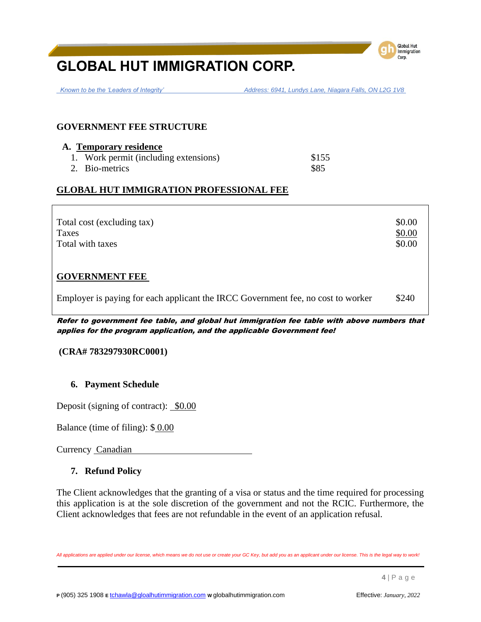

 *Known to be the 'Leaders of Integrity' Address: 6941, Lundys Lane, Niagara Falls, ON L2G 1V8*

### **GOVERNMENT FEE STRUCTURE**

| A. Temporary residence                |       |
|---------------------------------------|-------|
| 1. Work permit (including extensions) | \$155 |
| 2. Bio-metrics                        | \$85  |

## **GLOBAL HUT IMMIGRATION PROFESSIONAL FEE**

| Total cost (excluding tax)<br><b>Taxes</b><br>Total with taxes                   | \$0.00<br>\$0.00<br>\$0.00 |
|----------------------------------------------------------------------------------|----------------------------|
| <b>GOVERNMENT FEE</b>                                                            |                            |
| Employer is paying for each applicant the IRCC Government fee, no cost to worker | \$240                      |

Refer to government fee table, and global hut immigration fee table with above numbers that applies for the program application, and the applicable Government fee!

#### **(CRA# 783297930RC0001)**

### **6. Payment Schedule**

Deposit (signing of contract):  $$0.00$ 

Balance (time of filing): \$ 0.00

Currency Canadian

### **7. Refund Policy**

The Client acknowledges that the granting of a visa or status and the time required for processing this application is at the sole discretion of the government and not the RCIC. Furthermore, the Client acknowledges that fees are not refundable in the event of an application refusal.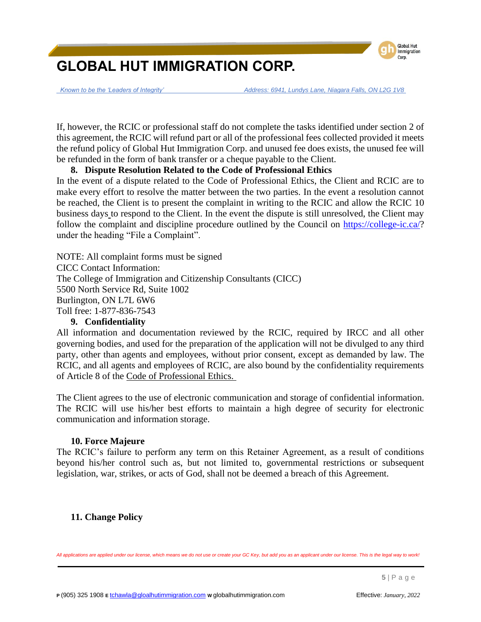

 *Known to be the 'Leaders of Integrity' Address: 6941, Lundys Lane, Niagara Falls, ON L2G 1V8*

If, however, the RCIC or professional staff do not complete the tasks identified under section 2 of this agreement, the RCIC will refund part or all of the professional fees collected provided it meets the refund policy of Global Hut Immigration Corp. and unused fee does exists, the unused fee will be refunded in the form of bank transfer or a cheque payable to the Client.

### **8. Dispute Resolution Related to the Code of Professional Ethics**

In the event of a dispute related to the Code of Professional Ethics, the Client and RCIC are to make every effort to resolve the matter between the two parties. In the event a resolution cannot be reached, the Client is to present the complaint in writing to the RCIC and allow the RCIC 10 business days to respond to the Client. In the event the dispute is still unresolved, the Client may follow the complaint and discipline procedure outlined by the Council on [https://college-ic.ca/?](https://college-ic.ca/) under the heading "File a Complaint".

NOTE: All complaint forms must be signed CICC Contact Information: The College of Immigration and Citizenship Consultants (CICC) 5500 North Service Rd, Suite 1002 Burlington, ON L7L 6W6 Toll free: 1-877-836-7543

### **9. Confidentiality**

All information and documentation reviewed by the RCIC, required by IRCC and all other governing bodies, and used for the preparation of the application will not be divulged to any third party, other than agents and employees, without prior consent, except as demanded by law. The RCIC, and all agents and employees of RCIC, are also bound by the confidentiality requirements of Article 8 of the Code of Professional Ethics.

The Client agrees to the use of electronic communication and storage of confidential information. The RCIC will use his/her best efforts to maintain a high degree of security for electronic communication and information storage.

### **10. Force Majeure**

The RCIC's failure to perform any term on this Retainer Agreement, as a result of conditions beyond his/her control such as, but not limited to, governmental restrictions or subsequent legislation, war, strikes, or acts of God, shall not be deemed a breach of this Agreement.

### **11. Change Policy**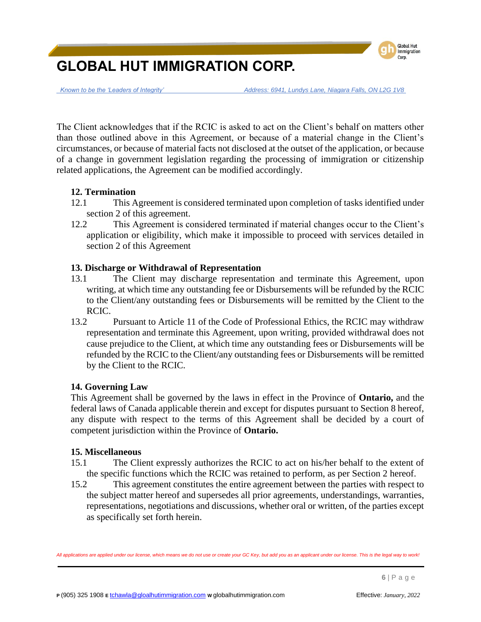

 *Known to be the 'Leaders of Integrity' Address: 6941, Lundys Lane, Niagara Falls, ON L2G 1V8*

The Client acknowledges that if the RCIC is asked to act on the Client's behalf on matters other than those outlined above in this Agreement, or because of a material change in the Client's circumstances, or because of material facts not disclosed at the outset of the application, or because of a change in government legislation regarding the processing of immigration or citizenship related applications, the Agreement can be modified accordingly.

### **12. Termination**

- 12.1 This Agreement is considered terminated upon completion of tasks identified under section 2 of this agreement.
- 12.2 This Agreement is considered terminated if material changes occur to the Client's application or eligibility, which make it impossible to proceed with services detailed in section 2 of this Agreement

### **13. Discharge or Withdrawal of Representation**

- 13.1 The Client may discharge representation and terminate this Agreement, upon writing, at which time any outstanding fee or Disbursements will be refunded by the RCIC to the Client/any outstanding fees or Disbursements will be remitted by the Client to the RCIC.
- 13.2 Pursuant to Article 11 of the Code of Professional Ethics, the RCIC may withdraw representation and terminate this Agreement, upon writing, provided withdrawal does not cause prejudice to the Client, at which time any outstanding fees or Disbursements will be refunded by the RCIC to the Client/any outstanding fees or Disbursements will be remitted by the Client to the RCIC.

### **14. Governing Law**

This Agreement shall be governed by the laws in effect in the Province of **Ontario,** and the federal laws of Canada applicable therein and except for disputes pursuant to Section 8 hereof, any dispute with respect to the terms of this Agreement shall be decided by a court of competent jurisdiction within the Province of **Ontario.**

### **15. Miscellaneous**

- 15.1 The Client expressly authorizes the RCIC to act on his/her behalf to the extent of the specific functions which the RCIC was retained to perform, as per Section 2 hereof.
- 15.2 This agreement constitutes the entire agreement between the parties with respect to the subject matter hereof and supersedes all prior agreements, understandings, warranties, representations, negotiations and discussions, whether oral or written, of the parties except as specifically set forth herein.

*All applications are applied under our license, which means we do not use or create your GC Key, but add you as an applicant under our license. This is the legal way to work!*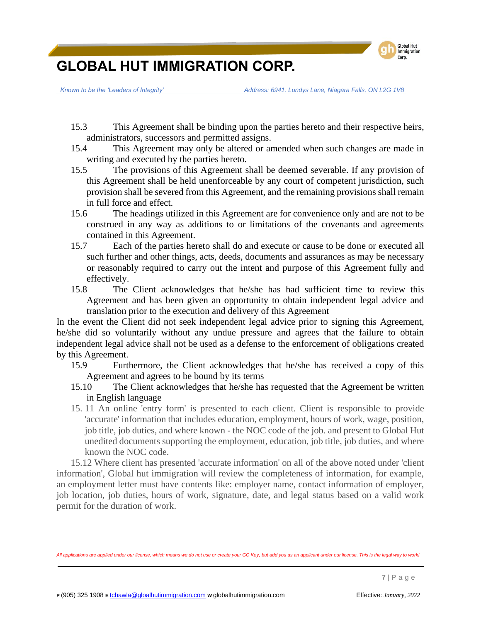

 *Known to be the 'Leaders of Integrity' Address: 6941, Lundys Lane, Niagara Falls, ON L2G 1V8*

- 15.3 This Agreement shall be binding upon the parties hereto and their respective heirs, administrators, successors and permitted assigns.
- 15.4 This Agreement may only be altered or amended when such changes are made in writing and executed by the parties hereto.
- 15.5 The provisions of this Agreement shall be deemed severable. If any provision of this Agreement shall be held unenforceable by any court of competent jurisdiction, such provision shall be severed from this Agreement, and the remaining provisions shall remain in full force and effect.
- 15.6 The headings utilized in this Agreement are for convenience only and are not to be construed in any way as additions to or limitations of the covenants and agreements contained in this Agreement.
- 15.7 Each of the parties hereto shall do and execute or cause to be done or executed all such further and other things, acts, deeds, documents and assurances as may be necessary or reasonably required to carry out the intent and purpose of this Agreement fully and effectively.
- 15.8 The Client acknowledges that he/she has had sufficient time to review this Agreement and has been given an opportunity to obtain independent legal advice and translation prior to the execution and delivery of this Agreement

In the event the Client did not seek independent legal advice prior to signing this Agreement, he/she did so voluntarily without any undue pressure and agrees that the failure to obtain independent legal advice shall not be used as a defense to the enforcement of obligations created by this Agreement.

- 15.9 Furthermore, the Client acknowledges that he/she has received a copy of this Agreement and agrees to be bound by its terms
- 15.10 The Client acknowledges that he/she has requested that the Agreement be written in English language
- 15. 11 An online 'entry form' is presented to each client. Client is responsible to provide 'accurate' information that includes education, employment, hours of work, wage, position, job title, job duties, and where known - the NOC code of the job. and present to Global Hut unedited documents supporting the employment, education, job title, job duties, and where known the NOC code.

15.12 Where client has presented 'accurate information' on all of the above noted under 'client information', Global hut immigration will review the completeness of information, for example, an employment letter must have contents like: employer name, contact information of employer, job location, job duties, hours of work, signature, date, and legal status based on a valid work permit for the duration of work.

*All applications are applied under our license, which means we do not use or create your GC Key, but add you as an applicant under our license. This is the legal way to work!*